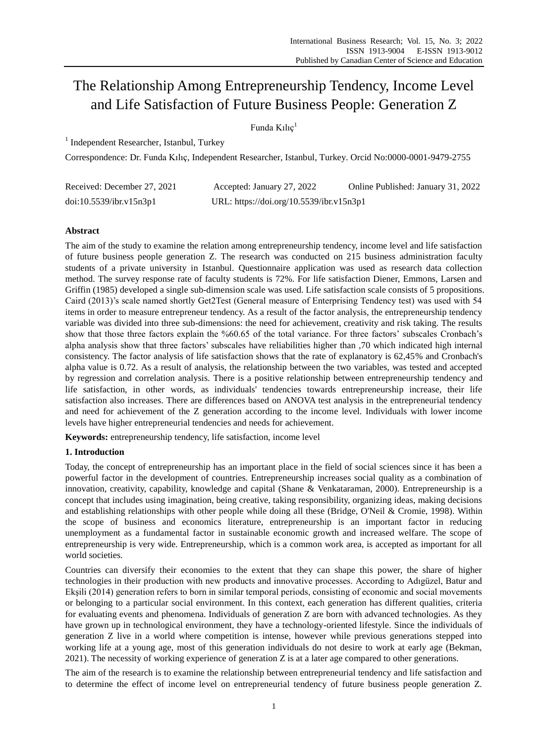# The Relationship Among Entrepreneurship Tendency, Income Level and Life Satisfaction of Future Business People: Generation Z

Funda Kılıç<sup>1</sup>

<sup>1</sup> Independent Researcher, Istanbul, Turkey

Correspondence: Dr. Funda Kılıç, Independent Researcher, Istanbul, Turkey. Orcid No:0000-0001-9479-2755

| Received: December 27, 2021 | Accepted: January 27, 2022               | Online Published: January 31, 2022 |
|-----------------------------|------------------------------------------|------------------------------------|
| doi:10.5539/ibr.v15n3p1     | URL: https://doi.org/10.5539/ibr.v15n3p1 |                                    |

## **Abstract**

The aim of the study to examine the relation among entrepreneurship tendency, income level and life satisfaction of future business people generation Z. The research was conducted on 215 business administration faculty students of a private university in Istanbul. Questionnaire application was used as research data collection method. The survey response rate of faculty students is 72%. For life satisfaction Diener, Emmons, Larsen and Griffin (1985) developed a single sub-dimension scale was used. Life satisfaction scale consists of 5 propositions. Caird (2013)"s scale named shortly Get2Test (General measure of Enterprising Tendency test) was used with 54 items in order to measure entrepreneur tendency. As a result of the factor analysis, the entrepreneurship tendency variable was divided into three sub-dimensions: the need for achievement, creativity and risk taking. The results show that those three factors explain the %60.65 of the total variance. For three factors' subscales Cronbach's alpha analysis show that three factors" subscales have reliabilities higher than ,70 which indicated high internal consistency. The factor analysis of life satisfaction shows that the rate of explanatory is 62,45% and Cronbach's alpha value is 0.72. As a result of analysis, the relationship between the two variables, was tested and accepted by regression and correlation analysis. There is a positive relationship between entrepreneurship tendency and life satisfaction, in other words, as individuals' tendencies towards entrepreneurship increase, their life satisfaction also increases. There are differences based on ANOVA test analysis in the entrepreneurial tendency and need for achievement of the Z generation according to the income level. Individuals with lower income levels have higher entrepreneurial tendencies and needs for achievement.

**Keywords:** entrepreneurship tendency, life satisfaction, income level

## **1. Introduction**

Today, the concept of entrepreneurship has an important place in the field of social sciences since it has been a powerful factor in the development of countries. Entrepreneurship increases social quality as a combination of innovation, creativity, capability, knowledge and capital (Shane & Venkataraman, 2000). Entrepreneurship is a concept that includes using imagination, being creative, taking responsibility, organizing ideas, making decisions and establishing relationships with other people while doing all these (Bridge, O'Neil & Cromie, 1998). Within the scope of business and economics literature, entrepreneurship is an important factor in reducing unemployment as a fundamental factor in sustainable economic growth and increased welfare. The scope of entrepreneurship is very wide. Entrepreneurship, which is a common work area, is accepted as important for all world societies.

Countries can diversify their economies to the extent that they can shape this power, the share of higher technologies in their production with new products and innovative processes. According to Adıgüzel, Batur and Ekşili (2014) generation refers to born in similar temporal periods, consisting of economic and social movements or belonging to a particular social environment. In this context, each generation has different qualities, criteria for evaluating events and phenomena. Individuals of generation Z are born with advanced technologies. As they have grown up in technological environment, they have a technology-oriented lifestyle. Since the individuals of generation Z live in a world where competition is intense, however while previous generations stepped into working life at a young age, most of this generation individuals do not desire to work at early age (Bekman, 2021). The necessity of working experience of generation Z is at a later age compared to other generations.

The aim of the research is to examine the relationship between entrepreneurial tendency and life satisfaction and to determine the effect of income level on entrepreneurial tendency of future business people generation Z.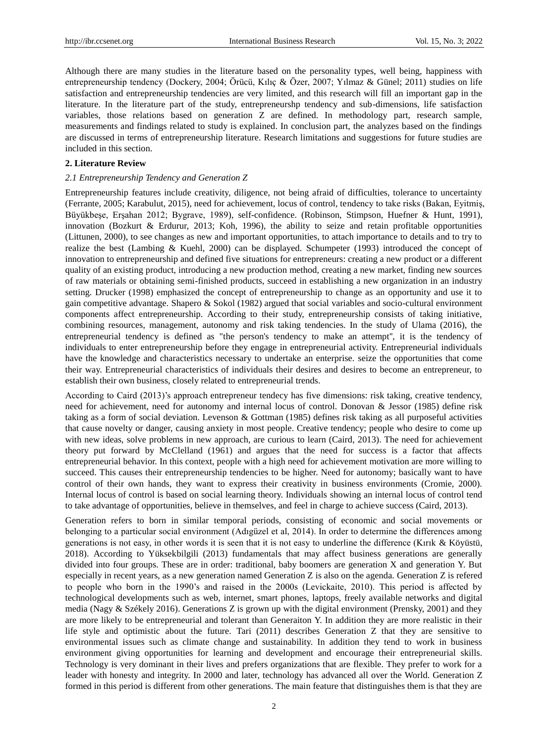Although there are many studies in the literature based on the personality types, well being, happiness with entrepreneurship tendency (Dockery, 2004; Örücü, Kılıç & Özer, 2007; Yılmaz & Günel; 2011) studies on life satisfaction and entrepreneurship tendencies are very limited, and this research will fill an important gap in the literature. In the literature part of the study, entrepreneurshp tendency and sub-dimensions, life satisfaction variables, those relations based on generation Z are defined. In methodology part, research sample, measurements and findings related to study is explained. In conclusion part, the analyzes based on the findings are discussed in terms of entrepreneurship literature. Research limitations and suggestions for future studies are included in this section.

#### **2. Literature Review**

#### *2.1 Entrepreneurship Tendency and Generation Z*

Entrepreneurship features include creativity, diligence, not being afraid of difficulties, tolerance to uncertainty (Ferrante, 2005; Karabulut, 2015), need for achievement, locus of control, tendency to take risks (Bakan, Eyitmiş, Büyükbeşe, Erşahan 2012; Bygrave, 1989), self-confidence. (Robinson, Stimpson, Huefner & Hunt, 1991), innovation (Bozkurt & Erdurur, 2013; Koh, 1996), the ability to seize and retain profitable opportunities (Littunen, 2000), to see changes as new and important opportunities, to attach importance to details and to try to realize the best (Lambing & Kuehl, 2000) can be displayed. Schumpeter (1993) introduced the concept of innovation to entrepreneurship and defined five situations for entrepreneurs: creating a new product or a different quality of an existing product, introducing a new production method, creating a new market, finding new sources of raw materials or obtaining semi-finished products, succeed in establishing a new organization in an industry setting. Drucker (1998) emphasized the concept of entrepreneurship to change as an opportunity and use it to gain competitive advantage. Shapero & Sokol (1982) argued that social variables and socio-cultural environment components affect entrepreneurship. According to their study, entrepreneurship consists of taking initiative, combining resources, management, autonomy and risk taking tendencies. In the study of Ulama (2016), the entrepreneurial tendency is defined as "the person's tendency to make an attempt'', it is the tendency of individuals to enter entrepreneurship before they engage in entrepreneurial activity. Entrepreneurial individuals have the knowledge and characteristics necessary to undertake an enterprise. seize the opportunities that come their way. Entrepreneurial characteristics of individuals their desires and desires to become an entrepreneur, to establish their own business, closely related to entrepreneurial trends.

According to Caird (2013)'s approach entrepreneur tendecy has five dimensions: risk taking, creative tendency, need for achievement, need for autonomy and internal locus of control. Donovan & Jessor (1985) define risk taking as a form of social deviation. Levenson & Gottman (1985) defines risk taking as all purposeful activities that cause novelty or danger, causing anxiety in most people. Creative tendency; people who desire to come up with new ideas, solve problems in new approach, are curious to learn (Caird, 2013). The need for achievement theory put forward by McClelland (1961) and argues that the need for success is a factor that affects entrepreneurial behavior. In this context, people with a high need for achievement motivation are more willing to succeed. This causes their entrepreneurship tendencies to be higher. Need for autonomy; basically want to have control of their own hands, they want to express their creativity in business environments (Cromie, 2000). Internal locus of control is based on social learning theory. Individuals showing an internal locus of control tend to take advantage of opportunities, believe in themselves, and feel in charge to achieve success (Caird, 2013).

Generation refers to born in similar temporal periods, consisting of economic and social movements or belonging to a particular social environment (Adıgüzel et al, 2014). In order to determine the differences among generations is not easy, in other words it is seen that it is not easy to underline the difference (Kırık & Köyüstü, 2018). According to Yüksekbilgili (2013) fundamentals that may affect business generations are generally divided into four groups. These are in order: traditional, baby boomers are generation X and generation Y. But especially in recent years, as a new generation named Generation Z is also on the agenda. Generation Z is refered to people who born in the 1990"s and raised in the 2000s (Levickaite, 2010). This period is affected by technological developments such as web, internet, smart phones, laptops, freely available networks and digital media (Nagy  $\&$  Sz & ely 2016). Generations Z is grown up with the digital environment (Prensky, 2001) and they are more likely to be entrepreneurial and tolerant than Generaiton Y. In addition they are more realistic in their life style and optimistic about the future. Tari (2011) describes Generation Z that they are sensitive to environmental issues such as climate change and sustainability. In addition they tend to work in business environment giving opportunities for learning and development and encourage their entrepreneurial skills. Technology is very dominant in their lives and prefers organizations that are flexible. They prefer to work for a leader with honesty and integrity. In 2000 and later, technology has advanced all over the World. Generation Z formed in this period is different from other generations. The main feature that distinguishes them is that they are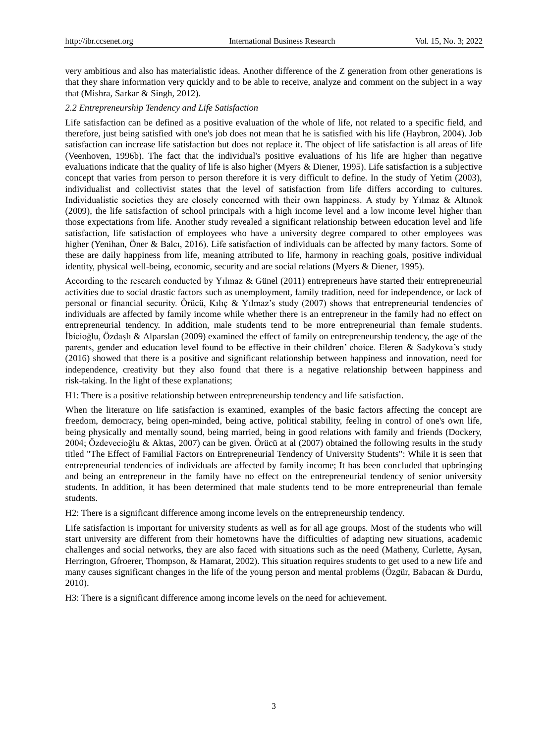very ambitious and also has materialistic ideas. Another difference of the Z generation from other generations is that they share information very quickly and to be able to receive, analyze and comment on the subject in a way that (Mishra, Sarkar & Singh, 2012).

#### *2.2 Entrepreneurship Tendency and Life Satisfaction*

Life satisfaction can be defined as a positive evaluation of the whole of life, not related to a specific field, and therefore, just being satisfied with one's job does not mean that he is satisfied with his life (Haybron, 2004). Job satisfaction can increase life satisfaction but does not replace it. The object of life satisfaction is all areas of life (Veenhoven, 1996b). The fact that the individual's positive evaluations of his life are higher than negative evaluations indicate that the quality of life is also higher (Myers & Diener, 1995). Life satisfaction is a subjective concept that varies from person to person therefore it is very difficult to define. In the study of Yetim (2003), individualist and collectivist states that the level of satisfaction from life differs according to cultures. Individualistic societies they are closely concerned with their own happiness. A study by Yılmaz & Altınok (2009), the life satisfaction of school principals with a high income level and a low income level higher than those expectations from life. Another study revealed a significant relationship between education level and life satisfaction, life satisfaction of employees who have a university degree compared to other employees was higher (Yenihan, Öner & Balcı, 2016). Life satisfaction of individuals can be affected by many factors. Some of these are daily happiness from life, meaning attributed to life, harmony in reaching goals, positive individual identity, physical well-being, economic, security and are social relations (Myers & Diener, 1995).

According to the research conducted by Yılmaz & Günel (2011) entrepreneurs have started their entrepreneurial activities due to social drastic factors such as unemployment, family tradition, need for independence, or lack of personal or financial security. Örücü, Kılıç & Yılmaz"s study (2007) shows that entrepreneurial tendencies of individuals are affected by family income while whether there is an entrepreneur in the family had no effect on entrepreneurial tendency. In addition, male students tend to be more entrepreneurial than female students. İbicioğlu, Özdaşlı & Alparslan (2009) examined the effect of family on entrepreneurship tendency, the age of the parents, gender and education level found to be effective in their children" choice. Eleren & Sadykova"s study (2016) showed that there is a positive and significant relationship between happiness and innovation, need for independence, creativity but they also found that there is a negative relationship between happiness and risk-taking. In the light of these explanations;

H1: There is a positive relationship between entrepreneurship tendency and life satisfaction.

When the literature on life satisfaction is examined, examples of the basic factors affecting the concept are freedom, democracy, being open-minded, being active, political stability, feeling in control of one's own life, being physically and mentally sound, being married, being in good relations with family and friends (Dockery, 2004; Özdevecioğlu & Aktas, 2007) can be given. Örücü at al (2007) obtained the following results in the study titled "The Effect of Familial Factors on Entrepreneurial Tendency of University Students": While it is seen that entrepreneurial tendencies of individuals are affected by family income; It has been concluded that upbringing and being an entrepreneur in the family have no effect on the entrepreneurial tendency of senior university students. In addition, it has been determined that male students tend to be more entrepreneurial than female students.

H2: There is a significant difference among income levels on the entrepreneurship tendency.

Life satisfaction is important for university students as well as for all age groups. Most of the students who will start university are different from their hometowns have the difficulties of adapting new situations, academic challenges and social networks, they are also faced with situations such as the need (Matheny, Curlette, Aysan, Herrington, Gfroerer, Thompson, & Hamarat, 2002). This situation requires students to get used to a new life and many causes significant changes in the life of the young person and mental problems (Özgür, Babacan & Durdu, 2010).

H3: There is a significant difference among income levels on the need for achievement.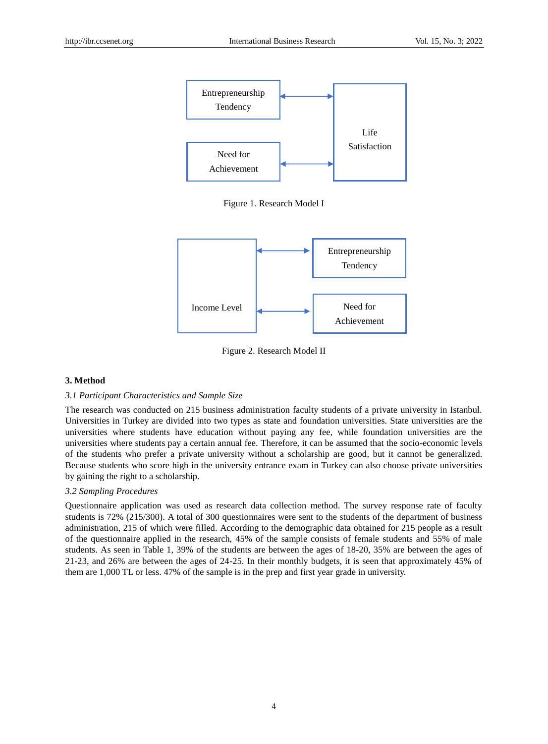

Figure 1. Research Model I



Figure 2. Research Model II

#### **3. Method**

#### *3.1 Participant Characteristics and Sample Size*

The research was conducted on 215 business administration faculty students of a private university in Istanbul. Universities in Turkey are divided into two types as state and foundation universities. State universities are the universities where students have education without paying any fee, while foundation universities are the universities where students pay a certain annual fee. Therefore, it can be assumed that the socio-economic levels of the students who prefer a private university without a scholarship are good, but it cannot be generalized. Because students who score high in the university entrance exam in Turkey can also choose private universities by gaining the right to a scholarship.

#### *3.2 Sampling Procedures*

Questionnaire application was used as research data collection method. The survey response rate of faculty students is 72% (215/300). A total of 300 questionnaires were sent to the students of the department of business administration, 215 of which were filled. According to the demographic data obtained for 215 people as a result of the questionnaire applied in the research, 45% of the sample consists of female students and 55% of male students. As seen in Table 1, 39% of the students are between the ages of 18-20, 35% are between the ages of 21-23, and 26% are between the ages of 24-25. In their monthly budgets, it is seen that approximately 45% of them are 1,000 TL or less. 47% of the sample is in the prep and first year grade in university.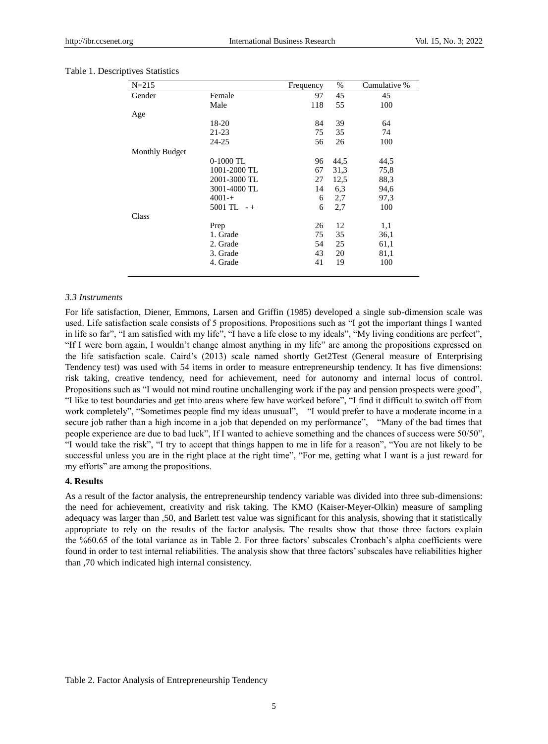| $N = 215$             |                | Frequency | $\%$ | Cumulative % |
|-----------------------|----------------|-----------|------|--------------|
| Gender                | Female         | 97        | 45   | 45           |
|                       | Male           | 118       | 55   | 100          |
| Age                   |                |           |      |              |
|                       | 18-20          | 84        | 39   | 64           |
|                       | $21 - 23$      | 75        | 35   | 74           |
|                       | 24-25          | 56        | 26   | 100          |
| <b>Monthly Budget</b> |                |           |      |              |
|                       | $0-1000$ TL    | 96        | 44,5 | 44,5         |
|                       | 1001-2000 TL   | 67        | 31,3 | 75,8         |
|                       | 2001-3000 TL   | 27        | 12,5 | 88,3         |
|                       | 3001-4000 TL   | 14        | 6,3  | 94,6         |
|                       | $4001 - +$     | 6         | 2,7  | 97,3         |
|                       | $5001$ TL $-+$ | 6         | 2,7  | 100          |
| Class                 |                |           |      |              |
|                       | Prep           | 26        | 12   | 1,1          |
|                       | 1. Grade       | 75        | 35   | 36,1         |
|                       | 2. Grade       | 54        | 25   | 61,1         |
|                       | 3. Grade       | 43        | 20   | 81,1         |
|                       | 4. Grade       | 41        | 19   | 100          |
|                       |                |           |      |              |

#### Table 1. Descriptives Statistics

#### *3.3 Instruments*

For life satisfaction, Diener, Emmons, Larsen and Griffin (1985) developed a single sub-dimension scale was used. Life satisfaction scale consists of 5 propositions. Propositions such as "I got the important things I wanted in life so far", "I am satisfied with my life", "I have a life close to my ideals", "My living conditions are perfect", "If I were born again, I wouldn"t change almost anything in my life" are among the propositions expressed on the life satisfaction scale. Caird"s (2013) scale named shortly Get2Test (General measure of Enterprising Tendency test) was used with 54 items in order to measure entrepreneurship tendency. It has five dimensions: risk taking, creative tendency, need for achievement, need for autonomy and internal locus of control. Propositions such as "I would not mind routine unchallenging work if the pay and pension prospects were good", "I like to test boundaries and get into areas where few have worked before", "I find it difficult to switch off from work completely", "Sometimes people find my ideas unusual", "I would prefer to have a moderate income in a secure job rather than a high income in a job that depended on my performance", "Many of the bad times that people experience are due to bad luck", If I wanted to achieve something and the chances of success were 50/50", "I would take the risk", "I try to accept that things happen to me in life for a reason", "You are not likely to be successful unless you are in the right place at the right time", "For me, getting what I want is a just reward for my efforts" are among the propositions.

#### **4. Results**

As a result of the factor analysis, the entrepreneurship tendency variable was divided into three sub-dimensions: the need for achievement, creativity and risk taking. The KMO (Kaiser-Meyer-Olkin) measure of sampling adequacy was larger than ,50, and Barlett test value was significant for this analysis, showing that it statistically appropriate to rely on the results of the factor analysis. The results show that those three factors explain the %60.65 of the total variance as in Table 2. For three factors" subscales Cronbach"s alpha coefficients were found in order to test internal reliabilities. The analysis show that three factors' subscales have reliabilities higher than ,70 which indicated high internal consistency.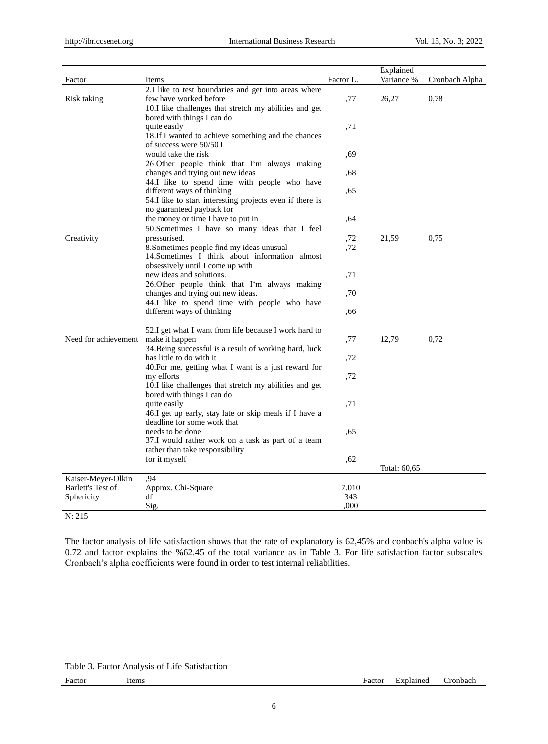| Factor               | Items                                                    | Factor L. | Explained<br>Variance % | Cronbach Alpha |
|----------------------|----------------------------------------------------------|-----------|-------------------------|----------------|
|                      | 2.I like to test boundaries and get into areas where     |           |                         |                |
| Risk taking          | few have worked before                                   | ,77       | 26,27                   | 0,78           |
|                      | 10. I like challenges that stretch my abilities and get  |           |                         |                |
|                      | bored with things I can do                               |           |                         |                |
|                      | quite easily                                             | ,71       |                         |                |
|                      | 18. If I wanted to achieve something and the chances     |           |                         |                |
|                      | of success were 50/50 I                                  |           |                         |                |
|                      | would take the risk                                      | ,69       |                         |                |
|                      | 26. Other people think that I'm always making            |           |                         |                |
|                      | changes and trying out new ideas                         |           |                         |                |
|                      |                                                          | ,68       |                         |                |
|                      | 44.I like to spend time with people who have             |           |                         |                |
|                      | different ways of thinking                               | .65       |                         |                |
|                      | 54.I like to start interesting projects even if there is |           |                         |                |
|                      | no guaranteed payback for                                |           |                         |                |
|                      | the money or time I have to put in                       | .64       |                         |                |
|                      | 50. Sometimes I have so many ideas that I feel           |           |                         |                |
| Creativity           | pressurised.                                             | ,72       | 21,59                   | 0.75           |
|                      | 8. Sometimes people find my ideas unusual                | ,72       |                         |                |
|                      | 14. Sometimes I think about information almost           |           |                         |                |
|                      | obsessively until I come up with                         |           |                         |                |
|                      | new ideas and solutions.                                 | ,71       |                         |                |
|                      | 26. Other people think that I'm always making            |           |                         |                |
|                      | changes and trying out new ideas.                        | ,70       |                         |                |
|                      | 44.I like to spend time with people who have             |           |                         |                |
|                      | different ways of thinking                               | .66       |                         |                |
|                      | 52.I get what I want from life because I work hard to    |           |                         |                |
| Need for achievement | make it happen                                           | ,77       | 12,79                   | 0,72           |
|                      | 34. Being successful is a result of working hard, luck   |           |                         |                |
|                      | has little to do with it                                 |           |                         |                |
|                      | 40. For me, getting what I want is a just reward for     | ,72       |                         |                |
|                      |                                                          |           |                         |                |
|                      | my efforts                                               | ,72       |                         |                |
|                      | 10.I like challenges that stretch my abilities and get   |           |                         |                |
|                      | bored with things I can do                               |           |                         |                |
|                      | quite easily                                             | ,71       |                         |                |
|                      | 46.I get up early, stay late or skip meals if I have a   |           |                         |                |
|                      | deadline for some work that                              |           |                         |                |
|                      | needs to be done                                         | ,65       |                         |                |
|                      | 37.I would rather work on a task as part of a team       |           |                         |                |
|                      | rather than take responsibility                          |           |                         |                |
|                      | for it myself                                            | ,62       |                         |                |
|                      |                                                          |           | Total: 60,65            |                |
| Kaiser-Meyer-Olkin   | .94                                                      |           |                         |                |
| Barlett's Test of    | Approx. Chi-Square                                       | 7.010     |                         |                |
| Sphericity           | df                                                       | 343       |                         |                |
|                      | Sig.                                                     | .000      |                         |                |
| N: 215               |                                                          |           |                         |                |

The factor analysis of life satisfaction shows that the rate of explanatory is 62,45% and conbach's alpha value is 0.72 and factor explains the %62.45 of the total variance as in Table 3. For life satisfaction factor subscales Cronbach"s alpha coefficients were found in order to test internal reliabilities.

Table 3. Factor Analysis of Life Satisfaction

| Factor<br>. | Items | Factor<br>------ | explained | . ror<br>nbach |
|-------------|-------|------------------|-----------|----------------|
|             |       |                  |           |                |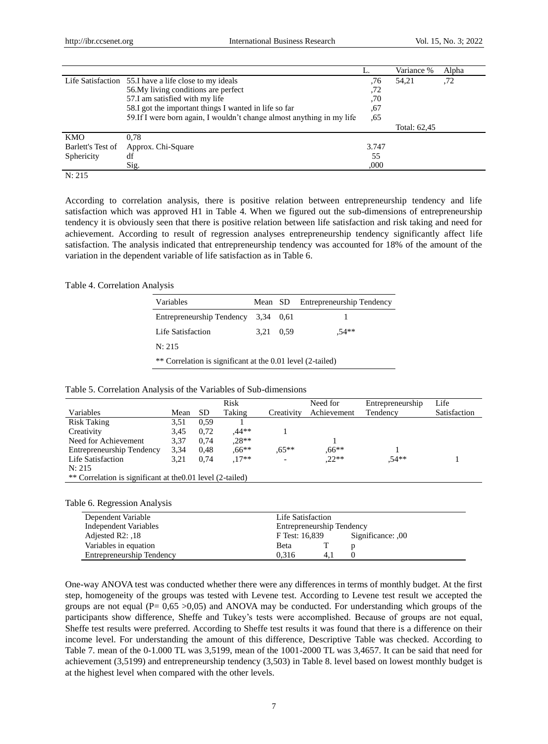|                   |                                                                        |       | Variance %   | Alpha |
|-------------------|------------------------------------------------------------------------|-------|--------------|-------|
|                   | Life Satisfaction 55.I have a life close to my ideals                  | .76   | 54.21        | ,72   |
|                   | 56. My living conditions are perfect                                   | .72   |              |       |
|                   | 57.I am satisfied with my life                                         | ,70   |              |       |
|                   | 58.I got the important things I wanted in life so far                  | ,67   |              |       |
|                   | 59. If I were born again, I wouldn't change almost anything in my life | .65   |              |       |
|                   |                                                                        |       | Total: 62,45 |       |
| KMO               | 0.78                                                                   |       |              |       |
| Barlett's Test of | Approx. Chi-Square                                                     | 3.747 |              |       |
| Sphericity        | df                                                                     | 55    |              |       |
|                   | Sig.                                                                   | ,000  |              |       |

#### N: 215

According to correlation analysis, there is positive relation between entrepreneurship tendency and life satisfaction which was approved H1 in Table 4. When we figured out the sub-dimensions of entrepreneurship tendency it is obviously seen that there is positive relation between life satisfaction and risk taking and need for achievement. According to result of regression analyses entrepreneurship tendency significantly affect life satisfaction. The analysis indicated that entrepreneurship tendency was accounted for 18% of the amount of the variation in the dependent variable of life satisfaction as in Table 6.

#### Table 4. Correlation Analysis

| Variables                                                  | Mean SD   |      | Entrepreneurship Tendency |  |  |  |
|------------------------------------------------------------|-----------|------|---------------------------|--|--|--|
| Entrepreneurship Tendency 3,34                             |           | 0.61 |                           |  |  |  |
| Life Satisfaction                                          | 3.21 0.59 |      | $.54**$                   |  |  |  |
| N: 215                                                     |           |      |                           |  |  |  |
| ** Correlation is significant at the 0.01 level (2-tailed) |           |      |                           |  |  |  |

#### Table 5. Correlation Analysis of the Variables of Sub-dimensions

|                                  |                                                            |           | Risk     |                          | Need for    | Entrepreneurship | Life         |  |
|----------------------------------|------------------------------------------------------------|-----------|----------|--------------------------|-------------|------------------|--------------|--|
| Variables                        | Mean                                                       | <b>SD</b> | Taking   | Creativity               | Achievement | Tendency         | Satisfaction |  |
| <b>Risk Taking</b>               | 3,51                                                       | 0.59      |          |                          |             |                  |              |  |
| Creativity                       | 3,45                                                       | 0.72      | .44**    |                          |             |                  |              |  |
| Need for Achievement             | 3.37                                                       | 0.74      | $.28**$  |                          |             |                  |              |  |
| <b>Entrepreneurship Tendency</b> | 3,34                                                       | 0.48      | $0.66**$ | $.65**$                  | $0.66**$    |                  |              |  |
| Life Satisfaction                | 3,21                                                       | 0.74      | $.17**$  | $\overline{\phantom{0}}$ | $.22**$     | $.54**$          |              |  |
| N: 215                           |                                                            |           |          |                          |             |                  |              |  |
|                                  | ** Correlation is significant at the 0.01 level (2-tailed) |           |          |                          |             |                  |              |  |

Table 6. Regression Analysis

| Dependent Variable           | Life Satisfaction         |                   |  |
|------------------------------|---------------------------|-------------------|--|
| <b>Independent Variables</b> | Entrepreneurship Tendency |                   |  |
| Adjested $R2: 18$            | F Test: 16,839            | 00, Significance: |  |
| Variables in equation        | <b>B</b> eta              |                   |  |
| Entrepreneurship Tendency    | 0.316<br>4.1              |                   |  |

One-way ANOVA test was conducted whether there were any differences in terms of monthly budget. At the first step, homogeneity of the groups was tested with Levene test. According to Levene test result we accepted the groups are not equal  $(P= 0.65 > 0.05)$  and ANOVA may be conducted. For understanding which groups of the participants show difference, Sheffe and Tukey"s tests were accomplished. Because of groups are not equal, Sheffe test results were preferred. According to Sheffe test results it was found that there is a difference on their income level. For understanding the amount of this difference, Descriptive Table was checked. According to Table 7. mean of the 0-1.000 TL was 3,5199, mean of the 1001-2000 TL was 3,4657. It can be said that need for achievement (3,5199) and entrepreneurship tendency (3,503) in Table 8. level based on lowest monthly budget is at the highest level when compared with the other levels.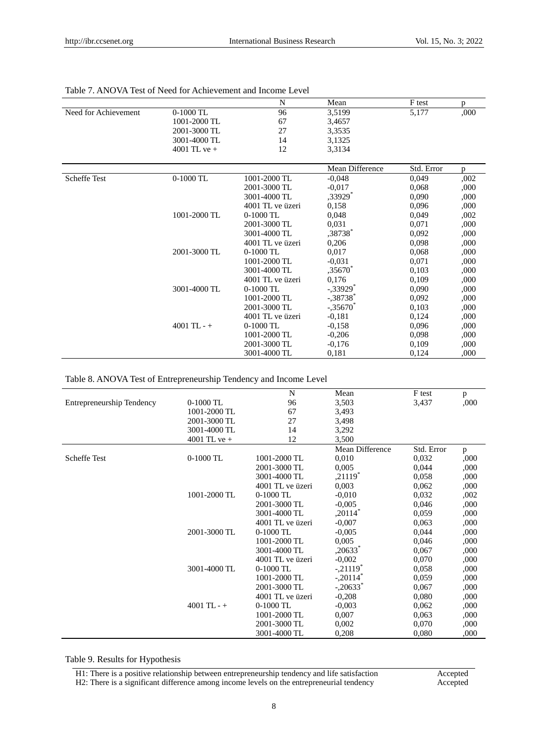|                      |               | N                 | Mean                   | F test     | p    |
|----------------------|---------------|-------------------|------------------------|------------|------|
| Need for Achievement | 0-1000 TL     | 96                | 3,5199                 | 5,177      | ,000 |
|                      | 1001-2000 TL  | 67                | 3,4657                 |            |      |
|                      | 2001-3000 TL  | 27                | 3,3535                 |            |      |
|                      | 3001-4000 TL  | 14                | 3,1325                 |            |      |
|                      | 4001 TL ve +  | 12                | 3,3134                 |            |      |
|                      |               |                   |                        |            |      |
|                      |               |                   | Mean Difference        | Std. Error | p    |
| Scheffe Test         | $0-1000$ TL   | 1001-2000 TL      | $-0.048$               | 0,049      | ,002 |
|                      |               | 2001-3000 TL      | $-0.017$               | 0,068      | ,000 |
|                      |               | 3001-4000 TL      | ,33929*                | 0.090      | ,000 |
|                      |               | 4001 TL ve iizeri | 0,158                  | 0,096      | ,000 |
|                      | 1001-2000 TL  | $0-1000$ TL       | 0,048                  | 0,049      | ,002 |
|                      |               | 2001-3000 TL      | 0,031                  | 0,071      | ,000 |
|                      |               | 3001-4000 TL      | ,38738*                | 0,092      | ,000 |
|                      |               | 4001 TL ve üzeri  | 0,206                  | 0,098      | ,000 |
|                      | 2001-3000 TL  | $0-1000$ TL       | 0,017                  | 0,068      | ,000 |
|                      |               | 1001-2000 TL      | $-0.031$               | 0,071      | ,000 |
|                      |               | 3001-4000 TL      | ,35670 $*$             | 0,103      | ,000 |
|                      |               | 4001 TL ve üzeri  | 0,176                  | 0,109      | ,000 |
|                      | 3001-4000 TL  | $0-1000$ TL       | $-33929$ <sup>*</sup>  | 0,090      | ,000 |
|                      |               | 1001-2000 TL      | $-.38738$ <sup>*</sup> | 0,092      | ,000 |
|                      |               | 2001-3000 TL      | $-.35670$              | 0,103      | ,000 |
|                      |               | 4001 TL ve üzeri  | $-0,181$               | 0,124      | ,000 |
|                      | $4001$ TL - + | $0-1000$ TL       | $-0.158$               | 0,096      | ,000 |
|                      |               | 1001-2000 TL      | $-0,206$               | 0,098      | ,000 |
|                      |               | 2001-3000 TL      | $-0,176$               | 0,109      | ,000 |
|                      |               | 3001-4000 TL      | 0,181                  | 0,124      | ,000 |

# Table 7. ANOVA Test of Need for Achievement and Income Level

Table 8. ANOVA Test of Entrepreneurship Tendency and Income Level

|                                  |                | N                | Mean                   | F test     | p    |
|----------------------------------|----------------|------------------|------------------------|------------|------|
| <b>Entrepreneurship Tendency</b> | $0-1000$ TL    | 96               | 3,503                  | 3,437      | ,000 |
|                                  | 1001-2000 TL   | 67               | 3,493                  |            |      |
|                                  | 2001-3000 TL   | 27               | 3,498                  |            |      |
|                                  | 3001-4000 TL   | 14               | 3,292                  |            |      |
|                                  | 4001 TL ve $+$ | 12               | 3,500                  |            |      |
|                                  |                |                  | Mean Difference        | Std. Error | p    |
| <b>Scheffe Test</b>              | 0-1000 TL      | 1001-2000 TL     | 0,010                  | 0,032      | ,000 |
|                                  |                | 2001-3000 TL     | 0,005                  | 0,044      | ,000 |
|                                  |                | 3001-4000 TL     | ,21119 $^*$            | 0,058      | ,000 |
|                                  |                | 4001 TL ve üzeri | 0,003                  | 0,062      | ,000 |
|                                  | 1001-2000 TL   | $0-1000$ TL      | $-0.010$               | 0,032      | ,002 |
|                                  |                | 2001-3000 TL     | $-0.005$               | 0,046      | ,000 |
|                                  |                | 3001-4000 TL     | $,20114$ <sup>*</sup>  | 0,059      | ,000 |
|                                  |                | 4001 TL ve üzeri | $-0,007$               | 0,063      | ,000 |
|                                  | 2001-3000 TL   | $0-1000$ TL      | $-0,005$               | 0,044      | ,000 |
|                                  |                | 1001-2000 TL     | 0,005                  | 0,046      | ,000 |
|                                  |                | 3001-4000 TL     | $,20633*$              | 0,067      | ,000 |
|                                  |                | 4001 TL ve üzeri | $-0,002$               | 0,070      | ,000 |
|                                  | 3001-4000 TL   | $0-1000$ TL      | $-.21119"$             | 0,058      | ,000 |
|                                  |                | 1001-2000 TL     | $-.20114$ <sup>*</sup> | 0,059      | ,000 |
|                                  |                | 2001-3000 TL     | $-.20633*$             | 0,067      | ,000 |
|                                  |                | 4001 TL ve üzeri | $-0,208$               | 0,080      | ,000 |
|                                  | $4001$ TL - +  | $0-1000$ TL      | $-0,003$               | 0,062      | ,000 |
|                                  |                | 1001-2000 TL     | 0,007                  | 0,063      | ,000 |
|                                  |                | 2001-3000 TL     | 0,002                  | 0,070      | ,000 |
|                                  |                | 3001-4000 TL     | 0,208                  | 0,080      | ,000 |

Table 9. Results for Hypothesis

H1: There is a positive relationship between entrepreneurship tendency and life satisfaction Accepted H2: There is a significant difference among income levels on the entrepreneurial tendency Accepted H2: There is a significant difference among income levels on the entrepreneurial tendency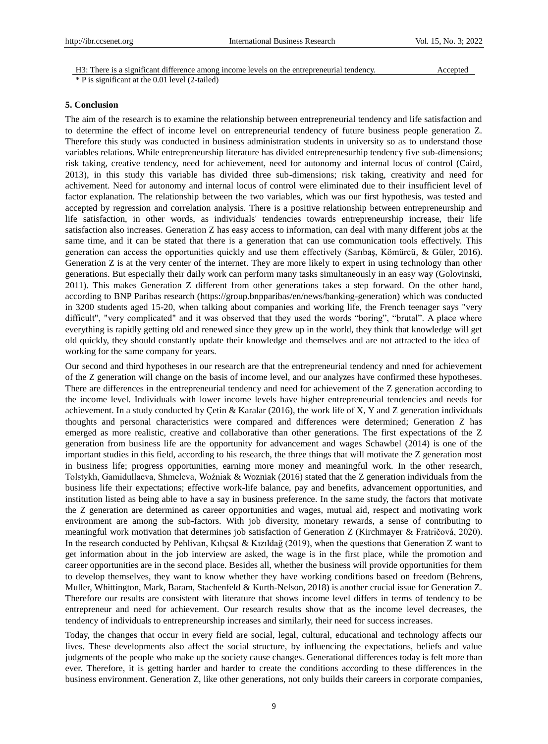H3: There is a significant difference among income levels on the entrepreneurial tendency. Accepted \* P is significant at the 0.01 level (2-tailed)

#### **5. Conclusion**

The aim of the research is to examine the relationship between entrepreneurial tendency and life satisfaction and to determine the effect of income level on entrepreneurial tendency of future business people generation Z. Therefore this study was conducted in business administration students in university so as to understand those variables relations. While entrepreneurship literature has divided entreprenesurhip tendency five sub-dimensions; risk taking, creative tendency, need for achievement, need for autonomy and internal locus of control (Caird, 2013), in this study this variable has divided three sub-dimensions; risk taking, creativity and need for achivement. Need for autonomy and internal locus of control were eliminated due to their insufficient level of factor explanation. The relationship between the two variables, which was our first hypothesis, was tested and accepted by regression and correlation analysis. There is a positive relationship between entrepreneurship and life satisfaction, in other words, as individuals' tendencies towards entrepreneurship increase, their life satisfaction also increases. Generation Z has easy access to information, can deal with many different jobs at the same time, and it can be stated that there is a generation that can use communication tools effectively. This generation can access the opportunities quickly and use them effectively (Sarıbaş, Kömürcü, & Güler, 2016). Generation Z is at the very center of the internet. They are more likely to expert in using technology than other generations. But especially their daily work can perform many tasks simultaneously in an easy way (Golovinski, 2011). This makes Generation Z different from other generations takes a step forward. On the other hand, according to BNP Paribas research [\(https://group.bnpparibas/en/news/banking-generation\)](https://group.bnpparibas/en/news/banking-generation) which was conducted in 3200 students aged 15-20, when talking about companies and working life, the French teenager says "very difficult", "very complicated" and it was observed that they used the words "boring", "brutal". A place where everything is rapidly getting old and renewed since they grew up in the world, they think that knowledge will get old quickly, they should constantly update their knowledge and themselves and are not attracted to the idea of working for the same company for years.

Our second and third hypotheses in our research are that the entrepreneurial tendency and nned for achievement of the Z generation will change on the basis of income level, and our analyzes have confirmed these hypotheses. There are differences in the entrepreneurial tendency and need for achievement of the Z generation according to the income level. Individuals with lower income levels have higher entrepreneurial tendencies and needs for achievement. In a study conducted by Cetin & Karalar (2016), the work life of X, Y and Z generation individuals thoughts and personal characteristics were compared and differences were determined; Generation Z has emerged as more realistic, creative and collaborative than other generations. The first expectations of the Z generation from business life are the opportunity for advancement and wages Schawbel (2014) is one of the important studies in this field, according to his research, the three things that will motivate the Z generation most in business life; progress opportunities, earning more money and meaningful work. In the other research, Tolstykh, Gamidullaeva, Shmeleva, Woźniak & Wozniak (2016) stated that the Z generation individuals from the business life their expectations; effective work-life balance, pay and benefits, advancement opportunities, and institution listed as being able to have a say in business preference. In the same study, the factors that motivate the Z generation are determined as career opportunities and wages, mutual aid, respect and motivating work environment are among the sub-factors. With job diversity, monetary rewards, a sense of contributing to meaningful work motivation that determines job satisfaction of Generation Z (Kirchmayer & Fratričová, 2020). In the research conducted by Pehlivan, Kılıçsal & Kızıldağ (2019), when the questions that Generation Z want to get information about in the job interview are asked, the wage is in the first place, while the promotion and career opportunities are in the second place. Besides all, whether the business will provide opportunities for them to develop themselves, they want to know whether they have working conditions based on freedom (Behrens, Muller, Whittington, Mark, Baram, Stachenfeld & Kurth-Nelson, 2018) is another crucial issue for Generation Z. Therefore our results are consistent with literature that shows income level differs in terms of tendency to be entrepreneur and need for achievement. Our research results show that as the income level decreases, the tendency of individuals to entrepreneurship increases and similarly, their need for success increases.

Today, the changes that occur in every field are social, legal, cultural, educational and technology affects our lives. These developments also affect the social structure, by influencing the expectations, beliefs and value judgments of the people who make up the society cause changes. Generational differences today is felt more than ever. Therefore, it is getting harder and harder to create the conditions according to these differences in the business environment. Generation Z, like other generations, not only builds their careers in corporate companies,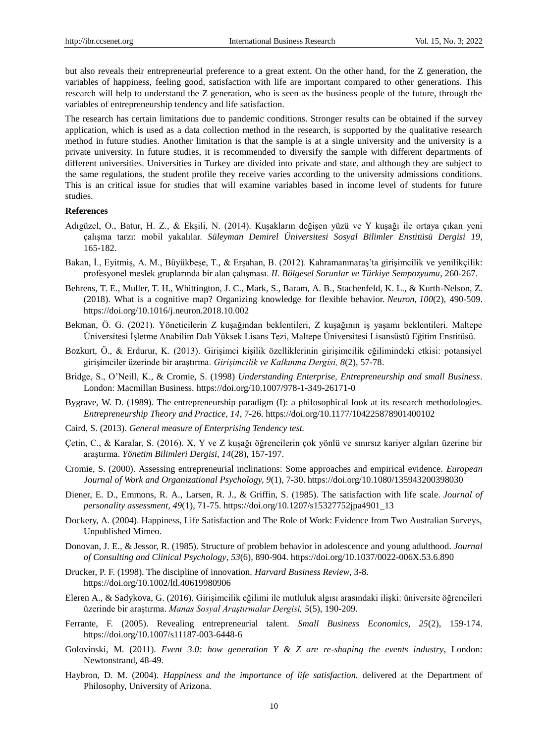but also reveals their entrepreneurial preference to a great extent. On the other hand, for the Z generation, the variables of happiness, feeling good, satisfaction with life are important compared to other generations. This research will help to understand the Z generation, who is seen as the business people of the future, through the variables of entrepreneurship tendency and life satisfaction.

The research has certain limitations due to pandemic conditions. Stronger results can be obtained if the survey application, which is used as a data collection method in the research, is supported by the qualitative research method in future studies. Another limitation is that the sample is at a single university and the university is a private university. In future studies, it is recommended to diversify the sample with different departments of different universities. Universities in Turkey are divided into private and state, and although they are subject to the same regulations, the student profile they receive varies according to the university admissions conditions. This is an critical issue for studies that will examine variables based in income level of students for future studies.

#### **References**

- Adıgüzel, O., Batur, H. Z., & Ekşili, N. (2014). Kuşakların değişen yüzü ve Y kuşağı ile ortaya çıkan yeni çalışma tarzı: mobil yakalılar. *Süleyman Demirel Üniversitesi Sosyal Bilimler Enstitüsü Dergisi 19*, 165-182.
- Bakan, İ., Eyitmiş, A. M., Büyükbeşe, T., & Erşahan, B. (2012). Kahramanmaraş"ta girişimcilik ve yenilikçilik: profesyonel meslek gruplarında bir alan çalışması. *II. Bölgesel Sorunlar ve Türkiye Sempozyumu*, 260-267.
- Behrens, T. E., Muller, T. H., Whittington, J. C., Mark, S., Baram, A. B., Stachenfeld, K. L., & Kurth-Nelson, Z. (2018). What is a cognitive map? Organizing knowledge for flexible behavior. *Neuron, 100*(2), 490-509. https://doi.org/10.1016/j.neuron.2018.10.002
- Bekman, Ö. G. (2021). Yöneticilerin Z kuşağından beklentileri, Z kuşağının iş yaşamı beklentileri. Maltepe Üniversitesi İşletme Anabilim Dalı Yüksek Lisans Tezi, Maltepe Üniversitesi Lisansüstü Eğitim Enstitüsü.
- Bozkurt, Ö., & Erdurur, K. (2013). Girişimci kişilik özelliklerinin girişimcilik eğilimindeki etkisi: potansiyel girişimciler üzerinde bir araştırma. *Girişimcilik ve Kalkınma Dergisi, 8*(2), 57-78.
- Bridge, S., O"Neill, K., & Cromie, S. (1998) *Understanding Enterprise, Entrepreneurship and small Business*. London: Macmillan Business. https://doi.org/10.1007/978-1-349-26171-0
- Bygrave, W. D. (1989). The entrepreneurship paradigm (I): a philosophical look at its research methodologies. *Entrepreneurship Theory and Practice, 14*, 7-26. https://doi.org/10.1177/104225878901400102
- Caird, S. (2013). *General measure of Enterprising Tendency test.*
- Çetin, C., & Karalar, S. (2016). X, Y ve Z kuşağı öğrencilerin çok yönlü ve sınırsız kariyer algıları üzerine bir araştırma. *Yönetim Bilimleri Dergisi, 14*(28), 157-197.
- Cromie, S. (2000). Assessing entrepreneurial inclinations: Some approaches and empirical evidence. *European Journal of Work and Organizational Psychology, 9*(1), 7-30. https://doi.org/10.1080/135943200398030
- Diener, E. D., Emmons, R. A., Larsen, R. J., & Griffin, S. (1985). The satisfaction with life scale. *Journal of personality assessment, 49*(1), 71-75. https://doi.org/10.1207/s15327752jpa4901\_13
- Dockery, A. (2004). Happiness, Life Satisfaction and The Role of Work: Evidence from Two Australian Surveys, Unpublished Mimeo.
- Donovan, J. E., & Jessor, R. (1985). Structure of problem behavior in adolescence and young adulthood. *Journal of Consulting and Clinical Psychology*, *53*(6), 890-904. https://doi.org/10.1037/0022-006X.53.6.890
- Drucker, P. F. (1998). The discipline of innovation. *Harvard Business Review*, 3-8. https://doi.org/10.1002/ltl.40619980906
- Eleren A., & Sadykova, G. (2016). Girişimcilik eğilimi ile mutluluk algısı arasındaki ilişki: üniversite öğrencileri üzerinde bir araştırma. *Manas Sosyal Araştırmalar Dergisi, 5*(5), 190-209.
- Ferrante, F. (2005). Revealing entrepreneurial talent. *Small Business Economics, 25*(2), 159-174. https://doi.org/10.1007/s11187-003-6448-6
- Golovinski, M. (2011). *Event 3.0: how generation Y & Z are re-shaping the events industry*, London: Newtonstrand, 48-49.
- Haybron, D. M. (2004). *Happiness and the importance of life satisfaction.* delivered at the Department of Philosophy, University of Arizona.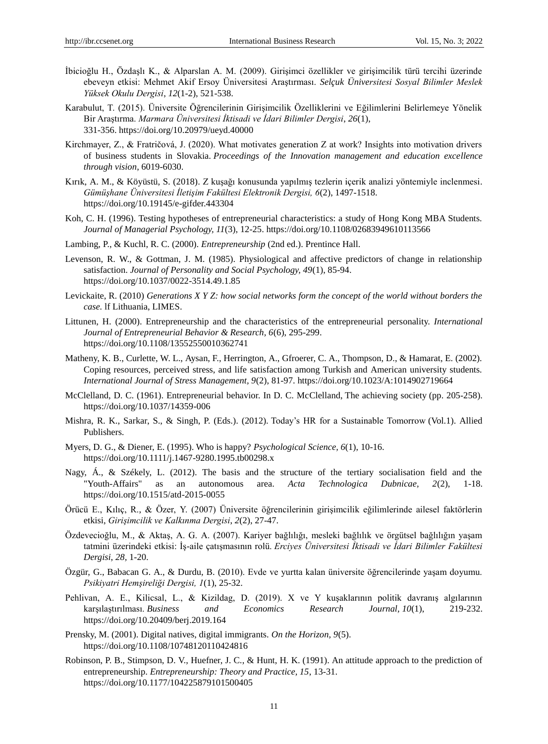- İbicioğlu H., Özdaşlı K., & Alparslan A. M. (2009). Girişimci özellikler ve girişimcilik türü tercihi üzerinde ebeveyn etkisi: Mehmet Akif Ersoy Üniversitesi Araştırması. *Selçuk Üniversitesi Sosyal Bilimler Meslek Yüksek Okulu Dergisi*, *12*(1-2), 521-538.
- Karabulut, T. (2015). Üniversite Öğrencilerinin Girişimcilik Özelliklerini ve Eğilimlerini Belirlemeye Yönelik Bir Araştırma. *Marmara Üniversitesi İktisadi ve İdari Bilimler Dergisi*, *26*(1), 331-356. https://doi.org/10.20979/ueyd.40000
- Kirchmayer, Z., & Fratričová, J. (2020). What motivates generation Z at work? Insights into motivation drivers of business students in Slovakia. *Proceedings of the Innovation management and education excellence through vision*, 6019-6030.
- Kırık, A. M., & Köyüstü, S. (2018). Z kuşağı konusunda yapılmış tezlerin içerik analizi yöntemiyle inclenmesi. *Gümüşhane Üniversitesi İletişim Fakültesi Elektronik Dergisi, 6*(2), 1497-1518. https://doi.org/10.19145/e-gifder.443304
- Koh, C. H. (1996). Testing hypotheses of entrepreneurial characteristics: a study of Hong Kong MBA Students. *Journal of Managerial Psychology, 11*(3), 12-25. https://doi.org/10.1108/02683949610113566
- Lambing, P., & Kuchl, R. C. (2000). *Entrepreneurship* (2nd ed.). Prentince Hall.
- Levenson, R. W., & Gottman, J. M. (1985). Physiological and affective predictors of change in relationship satisfaction. *Journal of Personality and Social Psychology, 49*(1), 85-94. https://doi.org/10.1037/0022-3514.49.1.85
- Levickaite, R. (2010) *Generations X Y Z: how social networks form the concept of the world without borders the case.* lf Lithuania, LIMES.
- Littunen, H. (2000). Entrepreneurship and the characteristics of the entrepreneurial personality. *International Journal of Entrepreneurial Behavior & Research, 6*(6), 295-299. https://doi.org/10.1108/13552550010362741
- Matheny, K. B., Curlette, W. L., Aysan, F., Herrington, A., Gfroerer, C. A., Thompson, D., & Hamarat, E. (2002). Coping resources, perceived stress, and life satisfaction among Turkish and American university students. *International Journal of Stress Management, 9*(2), 81-97. https://doi.org/10.1023/A:1014902719664
- McClelland, D. C. (1961). Entrepreneurial behavior. In D. C. McClelland, The achieving society (pp. 205-258). https://doi.org/10.1037/14359-006
- Mishra, R. K., Sarkar, S., & Singh, P. (Eds.). (2012). Today"s HR for a Sustainable Tomorrow (Vol.1). Allied Publishers.
- Myers, D. G., & Diener, E. (1995). Who is happy? *Psychological Science, 6*(1), 10-16. https://doi.org/10.1111/j.1467-9280.1995.tb00298.x
- Nagy, Á., & Székely, L. (2012). The basis and the structure of the tertiary socialisation field and the "Youth-Affairs" as an autonomous area. *Acta Technologica Dubnicae, 2*(2), 1-18. https://doi.org/10.1515/atd-2015-0055
- Örücü E., Kılıç, R., & Özer, Y. (2007) Üniversite öğrencilerinin girişimcilik eğilimlerinde ailesel faktörlerin etkisi, *Girişimcilik ve Kalkınma Dergisi*, *2*(2), 27-47.
- Özdevecioğlu, M., & Aktaş, A. G. A. (2007). Kariyer bağlılığı, mesleki bağlılık ve örgütsel bağlılığın yaşam tatmini üzerindeki etkisi: İş-aile çatışmasının rolü. *Erciyes Üniversitesi İktisadi ve İdari Bilimler Fakültesi Dergisi*, *28,* 1-20.
- Özgür, G., Babacan G. A., & Durdu, B. (2010). Evde ve yurtta kalan üniversite öğrencilerinde yaşam doyumu. *Psikiyatri Hemşireliği Dergisi, 1*(1), 25-32.
- Pehlivan, A. E., Kilicsal, L., & Kizildag, D. (2019). X ve Y kuşaklarının politik davranış algılarının karşılaştırılması. *Business and Economics Research Journal, 10*(1), 219-232. https://doi.org/10.20409/berj.2019.164
- Prensky, M. (2001). Digital natives, digital immigrants. *On the Horizon, 9*(5). https://doi.org/10.1108/10748120110424816
- Robinson, P. B., Stimpson, D. V., Huefner, J. C., & Hunt, H. K. (1991). An attitude approach to the prediction of entrepreneurship. *Entrepreneurship: Theory and Practice, 15*, 13-31. https://doi.org/10.1177/104225879101500405